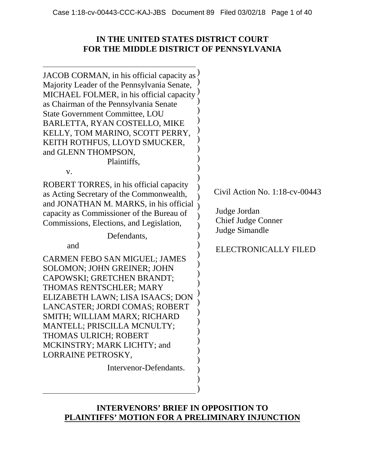## **IN THE UNITED STATES DISTRICT COURT FOR THE MIDDLE DISTRICT OF PENNSYLVANIA**

| JACOB CORMAN, in his official capacity as $\frac{1}{2}$<br>Majority Leader of the Pennsylvania Senate,<br>MICHAEL FOLMER, in his official capacity<br>as Chairman of the Pennsylvania Senate<br><b>State Government Committee, LOU</b><br>BARLETTA, RYAN COSTELLO, MIKE<br>KELLY, TOM MARINO, SCOTT PERRY,<br>KEITH ROTHFUS, LLOYD SMUCKER,<br>and GLENN THOMPSON,<br>Plaintiffs,<br>V.                                                                                                                                                                                                         |                                                                                                                                 |
|-------------------------------------------------------------------------------------------------------------------------------------------------------------------------------------------------------------------------------------------------------------------------------------------------------------------------------------------------------------------------------------------------------------------------------------------------------------------------------------------------------------------------------------------------------------------------------------------------|---------------------------------------------------------------------------------------------------------------------------------|
| ROBERT TORRES, in his official capacity<br>as Acting Secretary of the Commonwealth,<br>and JONATHAN M. MARKS, in his official<br>capacity as Commissioner of the Bureau of<br>Commissions, Elections, and Legislation,<br>Defendants,<br>and<br>CARMEN FEBO SAN MIGUEL; JAMES<br><b>SOLOMON; JOHN GREINER; JOHN</b><br>CAPOWSKI; GRETCHEN BRANDT;<br>THOMAS RENTSCHLER; MARY<br>ELIZABETH LAWN; LISA ISAACS; DON<br>LANCASTER; JORDI COMAS; ROBERT<br>SMITH; WILLIAM MARX; RICHARD<br>MANTELL; PRISCILLA MCNULTY;<br>THOMAS ULRICH; ROBERT<br>MCKINSTRY; MARK LICHTY; and<br>LORRAINE PETROSKY, | Civil Action No. $1:18$ -cv-00443<br>Judge Jordan<br><b>Chief Judge Conner</b><br>Judge Simandle<br><b>ELECTRONICALLY FILED</b> |
| Intervenor-Defendants.                                                                                                                                                                                                                                                                                                                                                                                                                                                                                                                                                                          |                                                                                                                                 |

## **INTERVENORS' BRIEF IN OPPOSITION TO PLAINTIFFS' MOTION FOR A PRELIMINARY INJUNCTION**

)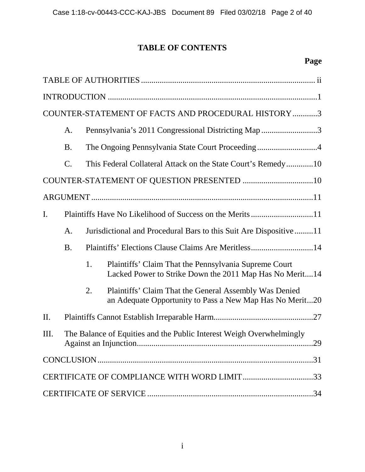# **TABLE OF CONTENTS**

# **Page**

| COUNTER-STATEMENT OF FACTS AND PROCEDURAL HISTORY3 |                 |    |                                                                                                                    |  |
|----------------------------------------------------|-----------------|----|--------------------------------------------------------------------------------------------------------------------|--|
|                                                    | A.              |    | Pennsylvania's 2011 Congressional Districting Map 3                                                                |  |
|                                                    | <b>B.</b>       |    | The Ongoing Pennsylvania State Court Proceeding4                                                                   |  |
|                                                    | $\mathcal{C}$ . |    | This Federal Collateral Attack on the State Court's Remedy10                                                       |  |
|                                                    |                 |    |                                                                                                                    |  |
|                                                    |                 |    |                                                                                                                    |  |
| $\mathbf{I}$ .                                     |                 |    |                                                                                                                    |  |
|                                                    | A.              |    | Jurisdictional and Procedural Bars to this Suit Are Dispositive11                                                  |  |
|                                                    | <b>B.</b>       |    | Plaintiffs' Elections Clause Claims Are Meritless14                                                                |  |
|                                                    |                 | 1. | Plaintiffs' Claim That the Pennsylvania Supreme Court<br>Lacked Power to Strike Down the 2011 Map Has No Merit14   |  |
|                                                    |                 | 2. | Plaintiffs' Claim That the General Assembly Was Denied<br>an Adequate Opportunity to Pass a New Map Has No Merit20 |  |
| II.                                                |                 |    |                                                                                                                    |  |
| Ш.                                                 |                 |    | The Balance of Equities and the Public Interest Weigh Overwhelmingly                                               |  |
|                                                    |                 |    |                                                                                                                    |  |
|                                                    |                 |    | CERTIFICATE OF COMPLIANCE WITH WORD LIMIT33                                                                        |  |
|                                                    |                 |    |                                                                                                                    |  |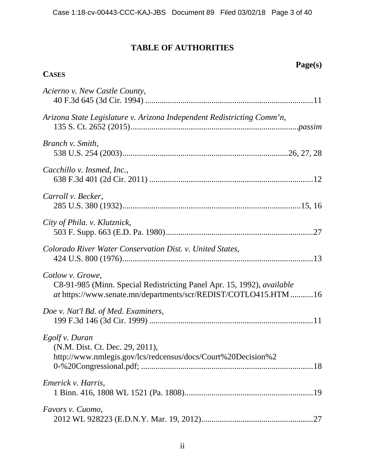## **TABLE OF AUTHORITIES**

**CASES**

**Page(s)** 

| Acierno v. New Castle County,                                                                                                                                 |
|---------------------------------------------------------------------------------------------------------------------------------------------------------------|
| Arizona State Legislature v. Arizona Independent Redistricting Comm'n,                                                                                        |
| Branch v. Smith,                                                                                                                                              |
| Cacchillo v. Insmed, Inc.,                                                                                                                                    |
| Carroll v. Becker,                                                                                                                                            |
| City of Phila. v. Klutznick,                                                                                                                                  |
| Colorado River Water Conservation Dist. v. United States,                                                                                                     |
| Cotlow v. Growe,<br>C8-91-985 (Minn. Special Redistricting Panel Apr. 15, 1992), available<br>at https://www.senate.mn/departments/scr/REDIST/COTLO415.HTM 16 |
| Doe v. Nat'l Bd. of Med. Examiners,                                                                                                                           |
| Egolf v. Duran<br>(N.M. Dist. Ct. Dec. 29, 2011),<br>http://www.nmlegis.gov/lcs/redcensus/docs/Court%20Decision%2                                             |
| Emerick v. Harris,                                                                                                                                            |
| Favors v. Cuomo,                                                                                                                                              |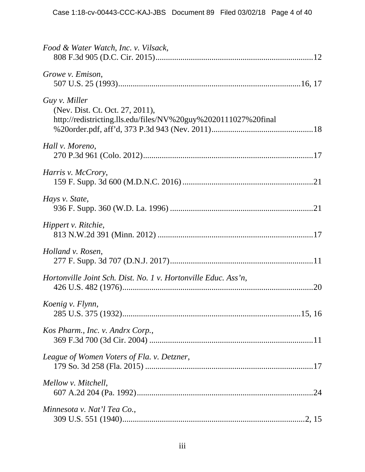| Food & Water Watch, Inc. v. Vilsack,                                                                               |
|--------------------------------------------------------------------------------------------------------------------|
| Growe v. Emison,                                                                                                   |
| Guy v. Miller<br>(Nev. Dist. Ct. Oct. 27, 2011),<br>http://redistricting.lls.edu/files/NV%20guy%2020111027%20final |
| Hall v. Moreno,                                                                                                    |
| Harris v. McCrory,                                                                                                 |
| Hays v. State,                                                                                                     |
| Hippert v. Ritchie,                                                                                                |
| Holland v. Rosen,                                                                                                  |
| Hortonville Joint Sch. Dist. No. 1 v. Hortonville Educ. Ass'n,                                                     |
| Koenig v. Flynn,                                                                                                   |
| Kos Pharm., Inc. v. Andrx Corp.,                                                                                   |
| League of Women Voters of Fla. v. Detzner,                                                                         |
| Mellow v. Mitchell,                                                                                                |
| Minnesota v. Nat'l Tea Co.,                                                                                        |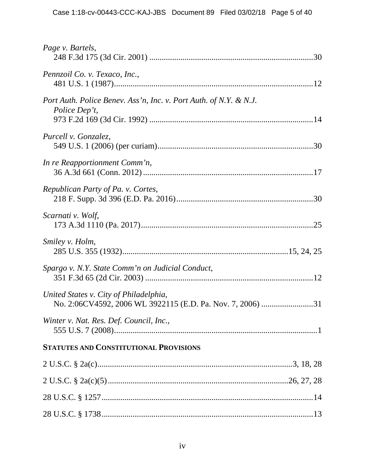| Page v. Bartels,                                                                   |
|------------------------------------------------------------------------------------|
| Pennzoil Co. v. Texaco, Inc.,                                                      |
| Port Auth. Police Benev. Ass'n, Inc. v. Port Auth. of N.Y. & N.J.<br>Police Dep't, |
| Purcell v. Gonzalez,                                                               |
| In re Reapportionment Comm'n,                                                      |
| Republican Party of Pa. v. Cortes,                                                 |
| Scarnati v. Wolf,                                                                  |
| Smiley v. Holm,                                                                    |
| Spargo v. N.Y. State Comm'n on Judicial Conduct,                                   |
| United States v. City of Philadelphia,                                             |
| Winter v. Nat. Res. Def. Council, Inc.,                                            |
| <b>STATUTES AND CONSTITUTIONAL PROVISIONS</b>                                      |
|                                                                                    |
|                                                                                    |
|                                                                                    |
|                                                                                    |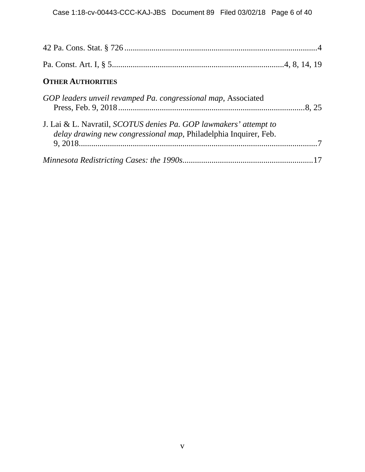| <b>OTHER AUTHORITIES</b>                                                                                                                     |  |
|----------------------------------------------------------------------------------------------------------------------------------------------|--|
| GOP leaders unveil revamped Pa. congressional map, Associated                                                                                |  |
| J. Lai & L. Navratil, <i>SCOTUS denies Pa. GOP lawmakers' attempt to</i><br>delay drawing new congressional map, Philadelphia Inquirer, Feb. |  |
|                                                                                                                                              |  |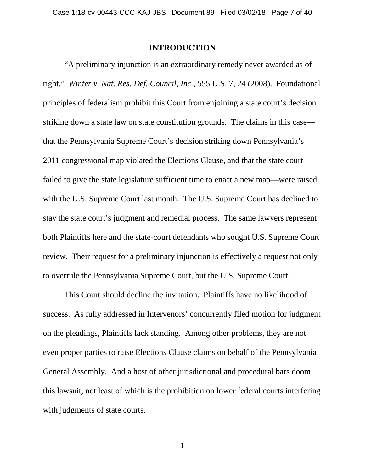#### **INTRODUCTION**

"A preliminary injunction is an extraordinary remedy never awarded as of right." *Winter v. Nat. Res. Def. Council, Inc.*, 555 U.S. 7, 24 (2008). Foundational principles of federalism prohibit this Court from enjoining a state court's decision striking down a state law on state constitution grounds. The claims in this case that the Pennsylvania Supreme Court's decision striking down Pennsylvania's 2011 congressional map violated the Elections Clause, and that the state court failed to give the state legislature sufficient time to enact a new map—were raised with the U.S. Supreme Court last month. The U.S. Supreme Court has declined to stay the state court's judgment and remedial process. The same lawyers represent both Plaintiffs here and the state-court defendants who sought U.S. Supreme Court review. Their request for a preliminary injunction is effectively a request not only to overrule the Pennsylvania Supreme Court, but the U.S. Supreme Court.

This Court should decline the invitation. Plaintiffs have no likelihood of success. As fully addressed in Intervenors' concurrently filed motion for judgment on the pleadings, Plaintiffs lack standing. Among other problems, they are not even proper parties to raise Elections Clause claims on behalf of the Pennsylvania General Assembly. And a host of other jurisdictional and procedural bars doom this lawsuit, not least of which is the prohibition on lower federal courts interfering with judgments of state courts.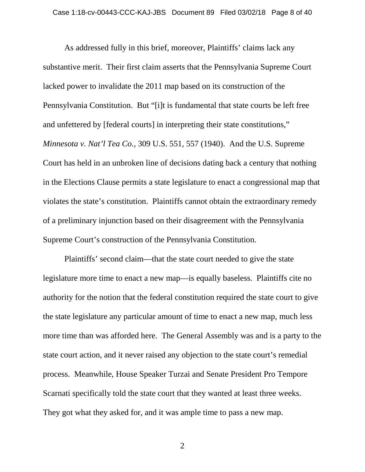As addressed fully in this brief, moreover, Plaintiffs' claims lack any substantive merit. Their first claim asserts that the Pennsylvania Supreme Court lacked power to invalidate the 2011 map based on its construction of the Pennsylvania Constitution. But "[i]t is fundamental that state courts be left free and unfettered by [federal courts] in interpreting their state constitutions," *Minnesota v. Nat'l Tea Co.*, 309 U.S. 551, 557 (1940). And the U.S. Supreme Court has held in an unbroken line of decisions dating back a century that nothing in the Elections Clause permits a state legislature to enact a congressional map that violates the state's constitution. Plaintiffs cannot obtain the extraordinary remedy of a preliminary injunction based on their disagreement with the Pennsylvania Supreme Court's construction of the Pennsylvania Constitution.

Plaintiffs' second claim—that the state court needed to give the state legislature more time to enact a new map—is equally baseless. Plaintiffs cite no authority for the notion that the federal constitution required the state court to give the state legislature any particular amount of time to enact a new map, much less more time than was afforded here. The General Assembly was and is a party to the state court action, and it never raised any objection to the state court's remedial process. Meanwhile, House Speaker Turzai and Senate President Pro Tempore Scarnati specifically told the state court that they wanted at least three weeks. They got what they asked for, and it was ample time to pass a new map.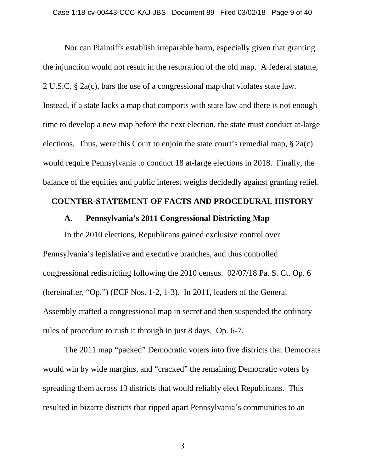Nor can Plaintiffs establish irreparable harm, especially given that granting the injunction would not result in the restoration of the old map. A federal statute, 2 U.S.C. § 2a(c), bars the use of a congressional map that violates state law. Instead, if a state lacks a map that comports with state law and there is not enough time to develop a new map before the next election, the state must conduct at-large elections. Thus, were this Court to enjoin the state court's remedial map, § 2a(c) would require Pennsylvania to conduct 18 at-large elections in 2018. Finally, the balance of the equities and public interest weighs decidedly against granting relief.

### **COUNTER-STATEMENT OF FACTS AND PROCEDURAL HISTORY**

### **A. Pennsylvania's 2011 Congressional Districting Map**

In the 2010 elections, Republicans gained exclusive control over Pennsylvania's legislative and executive branches, and thus controlled congressional redistricting following the 2010 census. 02/07/18 Pa. S. Ct. Op. 6 (hereinafter, "Op.") (ECF Nos. 1-2, 1-3). In 2011, leaders of the General Assembly crafted a congressional map in secret and then suspended the ordinary rules of procedure to rush it through in just 8 days. Op. 6-7.

The 2011 map "packed" Democratic voters into five districts that Democrats would win by wide margins, and "cracked" the remaining Democratic voters by spreading them across 13 districts that would reliably elect Republicans. This resulted in bizarre districts that ripped apart Pennsylvania's communities to an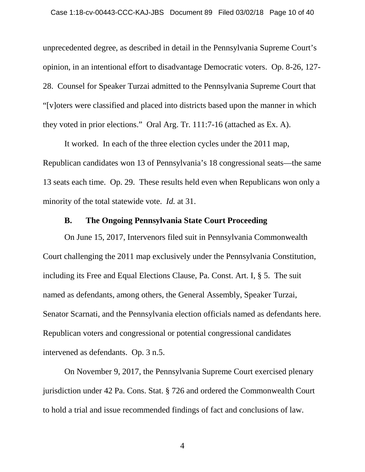unprecedented degree, as described in detail in the Pennsylvania Supreme Court's opinion, in an intentional effort to disadvantage Democratic voters. Op. 8-26, 127- 28. Counsel for Speaker Turzai admitted to the Pennsylvania Supreme Court that "[v]oters were classified and placed into districts based upon the manner in which they voted in prior elections." Oral Arg. Tr. 111:7-16 (attached as Ex. A).

It worked. In each of the three election cycles under the 2011 map, Republican candidates won 13 of Pennsylvania's 18 congressional seats—the same 13 seats each time. Op. 29. These results held even when Republicans won only a minority of the total statewide vote. *Id.* at 31.

## **B. The Ongoing Pennsylvania State Court Proceeding**

On June 15, 2017, Intervenors filed suit in Pennsylvania Commonwealth Court challenging the 2011 map exclusively under the Pennsylvania Constitution, including its Free and Equal Elections Clause, Pa. Const. Art. I, § 5. The suit named as defendants, among others, the General Assembly, Speaker Turzai, Senator Scarnati, and the Pennsylvania election officials named as defendants here. Republican voters and congressional or potential congressional candidates intervened as defendants. Op. 3 n.5.

On November 9, 2017, the Pennsylvania Supreme Court exercised plenary jurisdiction under 42 Pa. Cons. Stat. § 726 and ordered the Commonwealth Court to hold a trial and issue recommended findings of fact and conclusions of law.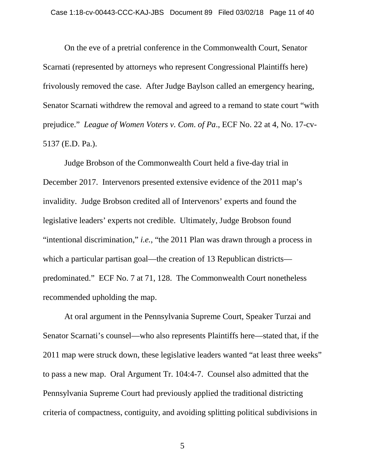On the eve of a pretrial conference in the Commonwealth Court, Senator Scarnati (represented by attorneys who represent Congressional Plaintiffs here) frivolously removed the case. After Judge Baylson called an emergency hearing, Senator Scarnati withdrew the removal and agreed to a remand to state court "with prejudice." *League of Women Voters v. Com*. *of Pa*., ECF No. 22 at 4, No. 17-cv-5137 (E.D. Pa.).

Judge Brobson of the Commonwealth Court held a five-day trial in December 2017. Intervenors presented extensive evidence of the 2011 map's invalidity. Judge Brobson credited all of Intervenors' experts and found the legislative leaders' experts not credible. Ultimately, Judge Brobson found "intentional discrimination," *i.e.*, "the 2011 Plan was drawn through a process in which a particular partisan goal—the creation of 13 Republican districts predominated." ECF No. 7 at 71, 128. The Commonwealth Court nonetheless recommended upholding the map.

At oral argument in the Pennsylvania Supreme Court, Speaker Turzai and Senator Scarnati's counsel—who also represents Plaintiffs here—stated that, if the 2011 map were struck down, these legislative leaders wanted "at least three weeks" to pass a new map. Oral Argument Tr. 104:4-7. Counsel also admitted that the Pennsylvania Supreme Court had previously applied the traditional districting criteria of compactness, contiguity, and avoiding splitting political subdivisions in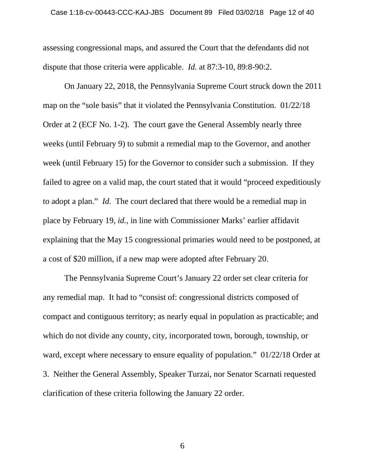assessing congressional maps, and assured the Court that the defendants did not dispute that those criteria were applicable. *Id.* at 87:3-10, 89:8-90:2.

On January 22, 2018, the Pennsylvania Supreme Court struck down the 2011 map on the "sole basis" that it violated the Pennsylvania Constitution. 01/22/18 Order at 2 (ECF No. 1-2). The court gave the General Assembly nearly three weeks (until February 9) to submit a remedial map to the Governor, and another week (until February 15) for the Governor to consider such a submission. If they failed to agree on a valid map, the court stated that it would "proceed expeditiously to adopt a plan." *Id.* The court declared that there would be a remedial map in place by February 19, *id.*, in line with Commissioner Marks' earlier affidavit explaining that the May 15 congressional primaries would need to be postponed, at a cost of \$20 million, if a new map were adopted after February 20.

The Pennsylvania Supreme Court's January 22 order set clear criteria for any remedial map. It had to "consist of: congressional districts composed of compact and contiguous territory; as nearly equal in population as practicable; and which do not divide any county, city, incorporated town, borough, township, or ward, except where necessary to ensure equality of population." 01/22/18 Order at 3. Neither the General Assembly, Speaker Turzai, nor Senator Scarnati requested clarification of these criteria following the January 22 order.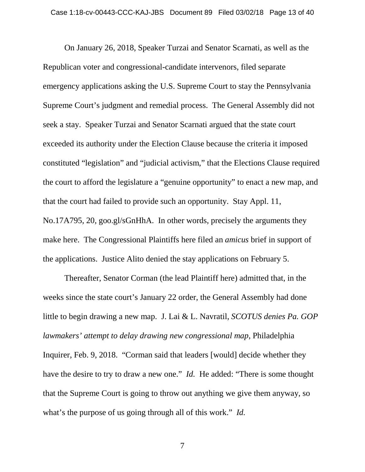On January 26, 2018, Speaker Turzai and Senator Scarnati, as well as the Republican voter and congressional-candidate intervenors, filed separate emergency applications asking the U.S. Supreme Court to stay the Pennsylvania Supreme Court's judgment and remedial process. The General Assembly did not seek a stay. Speaker Turzai and Senator Scarnati argued that the state court exceeded its authority under the Election Clause because the criteria it imposed constituted "legislation" and "judicial activism," that the Elections Clause required the court to afford the legislature a "genuine opportunity" to enact a new map, and that the court had failed to provide such an opportunity. Stay Appl. 11, No.17A795, 20, goo.gl/sGnHhA. In other words, precisely the arguments they make here. The Congressional Plaintiffs here filed an *amicus* brief in support of the applications. Justice Alito denied the stay applications on February 5.

Thereafter, Senator Corman (the lead Plaintiff here) admitted that, in the weeks since the state court's January 22 order, the General Assembly had done little to begin drawing a new map. J. Lai & L. Navratil, *SCOTUS denies Pa. GOP lawmakers' attempt to delay drawing new congressional map*, Philadelphia Inquirer, Feb. 9, 2018. "Corman said that leaders [would] decide whether they have the desire to try to draw a new one." *Id.* He added: "There is some thought that the Supreme Court is going to throw out anything we give them anyway, so what's the purpose of us going through all of this work." *Id.*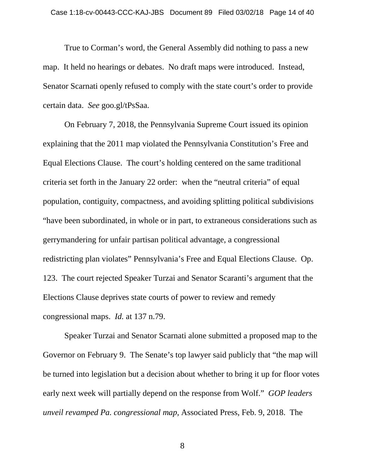True to Corman's word, the General Assembly did nothing to pass a new map. It held no hearings or debates. No draft maps were introduced. Instead, Senator Scarnati openly refused to comply with the state court's order to provide certain data. *See* goo.gl/tPsSaa.

On February 7, 2018, the Pennsylvania Supreme Court issued its opinion explaining that the 2011 map violated the Pennsylvania Constitution's Free and Equal Elections Clause. The court's holding centered on the same traditional criteria set forth in the January 22 order: when the "neutral criteria" of equal population, contiguity, compactness, and avoiding splitting political subdivisions "have been subordinated, in whole or in part, to extraneous considerations such as gerrymandering for unfair partisan political advantage, a congressional redistricting plan violates" Pennsylvania's Free and Equal Elections Clause. Op. 123. The court rejected Speaker Turzai and Senator Scaranti's argument that the Elections Clause deprives state courts of power to review and remedy congressional maps. *Id.* at 137 n.79.

Speaker Turzai and Senator Scarnati alone submitted a proposed map to the Governor on February 9. The Senate's top lawyer said publicly that "the map will be turned into legislation but a decision about whether to bring it up for floor votes early next week will partially depend on the response from Wolf." *GOP leaders unveil revamped Pa. congressional map*, Associated Press, Feb. 9, 2018. The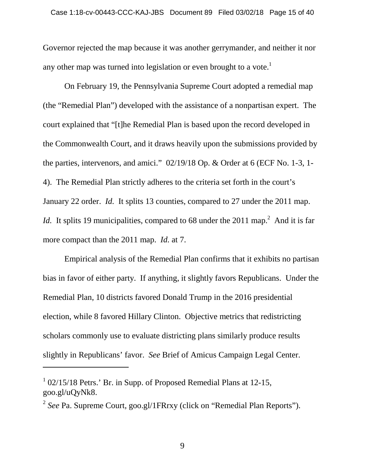Governor rejected the map because it was another gerrymander, and neither it nor any other map was turned into legislation or even brought to a vote.<sup>1</sup>

On February 19, the Pennsylvania Supreme Court adopted a remedial map (the "Remedial Plan") developed with the assistance of a nonpartisan expert. The court explained that "[t]he Remedial Plan is based upon the record developed in the Commonwealth Court, and it draws heavily upon the submissions provided by the parties, intervenors, and amici." 02/19/18 Op. & Order at 6 (ECF No. 1-3, 1- 4). The Remedial Plan strictly adheres to the criteria set forth in the court's January 22 order. *Id.* It splits 13 counties, compared to 27 under the 2011 map. *Id.* It splits 19 municipalities, compared to 68 under the 2011 map.<sup>2</sup> And it is far more compact than the 2011 map. *Id.* at 7.

Empirical analysis of the Remedial Plan confirms that it exhibits no partisan bias in favor of either party. If anything, it slightly favors Republicans. Under the Remedial Plan, 10 districts favored Donald Trump in the 2016 presidential election, while 8 favored Hillary Clinton. Objective metrics that redistricting scholars commonly use to evaluate districting plans similarly produce results slightly in Republicans' favor. *See* Brief of Amicus Campaign Legal Center.

<sup>&</sup>lt;sup>1</sup> 02/15/18 Petrs.' Br. in Supp. of Proposed Remedial Plans at 12-15, goo.gl/uQyNk8.

<sup>&</sup>lt;sup>2</sup> See Pa. Supreme Court, goo.gl/1FRrxy (click on "Remedial Plan Reports").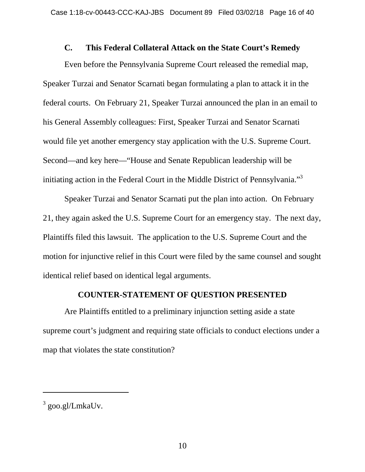## **C. This Federal Collateral Attack on the State Court's Remedy**

Even before the Pennsylvania Supreme Court released the remedial map, Speaker Turzai and Senator Scarnati began formulating a plan to attack it in the federal courts. On February 21, Speaker Turzai announced the plan in an email to his General Assembly colleagues: First, Speaker Turzai and Senator Scarnati would file yet another emergency stay application with the U.S. Supreme Court. Second—and key here—"House and Senate Republican leadership will be initiating action in the Federal Court in the Middle District of Pennsylvania."<sup>3</sup>

Speaker Turzai and Senator Scarnati put the plan into action. On February 21, they again asked the U.S. Supreme Court for an emergency stay. The next day, Plaintiffs filed this lawsuit. The application to the U.S. Supreme Court and the motion for injunctive relief in this Court were filed by the same counsel and sought identical relief based on identical legal arguments.

## **COUNTER-STATEMENT OF QUESTION PRESENTED**

Are Plaintiffs entitled to a preliminary injunction setting aside a state supreme court's judgment and requiring state officials to conduct elections under a map that violates the state constitution?

<sup>&</sup>lt;sup>3</sup> goo.gl/LmkaUv.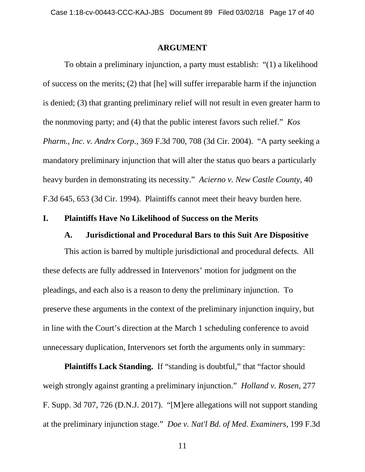#### **ARGUMENT**

To obtain a preliminary injunction, a party must establish: "(1) a likelihood of success on the merits; (2) that [he] will suffer irreparable harm if the injunction is denied; (3) that granting preliminary relief will not result in even greater harm to the nonmoving party; and (4) that the public interest favors such relief." *Kos Pharm., Inc. v. Andrx Corp.*, 369 F.3d 700, 708 (3d Cir. 2004). "A party seeking a mandatory preliminary injunction that will alter the status quo bears a particularly heavy burden in demonstrating its necessity." *Acierno v. New Castle County*, 40 F.3d 645, 653 (3d Cir. 1994). Plaintiffs cannot meet their heavy burden here.

#### **I. Plaintiffs Have No Likelihood of Success on the Merits**

#### **A. Jurisdictional and Procedural Bars to this Suit Are Dispositive**

This action is barred by multiple jurisdictional and procedural defects. All these defects are fully addressed in Intervenors' motion for judgment on the pleadings, and each also is a reason to deny the preliminary injunction. To preserve these arguments in the context of the preliminary injunction inquiry, but in line with the Court's direction at the March 1 scheduling conference to avoid unnecessary duplication, Intervenors set forth the arguments only in summary:

**Plaintiffs Lack Standing.** If "standing is doubtful," that "factor should weigh strongly against granting a preliminary injunction." *Holland v. Rosen*, 277 F. Supp. 3d 707, 726 (D.N.J. 2017). "[M]ere allegations will not support standing at the preliminary injunction stage." *Doe v. Nat'l Bd. of Med. Examiners*, 199 F.3d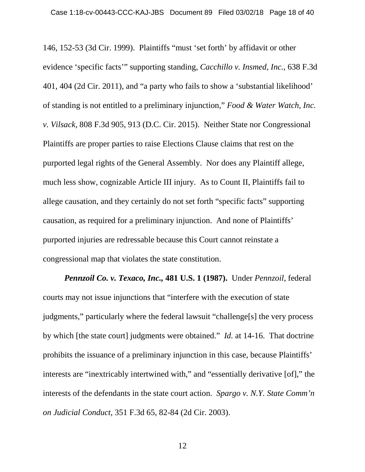146, 152-53 (3d Cir. 1999). Plaintiffs "must 'set forth' by affidavit or other evidence 'specific facts'" supporting standing, *Cacchillo v. Insmed, Inc.*, 638 F.3d 401, 404 (2d Cir. 2011), and "a party who fails to show a 'substantial likelihood' of standing is not entitled to a preliminary injunction," *Food & Water Watch, Inc. v. Vilsack*, 808 F.3d 905, 913 (D.C. Cir. 2015). Neither State nor Congressional Plaintiffs are proper parties to raise Elections Clause claims that rest on the purported legal rights of the General Assembly. Nor does any Plaintiff allege, much less show, cognizable Article III injury. As to Count II, Plaintiffs fail to allege causation, and they certainly do not set forth "specific facts" supporting causation, as required for a preliminary injunction. And none of Plaintiffs' purported injuries are redressable because this Court cannot reinstate a congressional map that violates the state constitution.

*Pennzoil Co. v. Texaco, Inc.,* **481 U.S. 1 (1987).** Under *Pennzoil*, federal courts may not issue injunctions that "interfere with the execution of state judgments," particularly where the federal lawsuit "challenge[s] the very process by which [the state court] judgments were obtained." *Id.* at 14-16. That doctrine prohibits the issuance of a preliminary injunction in this case, because Plaintiffs' interests are "inextricably intertwined with," and "essentially derivative [of]," the interests of the defendants in the state court action. *Spargo v. N.Y. State Comm'n on Judicial Conduct*, 351 F.3d 65, 82-84 (2d Cir. 2003).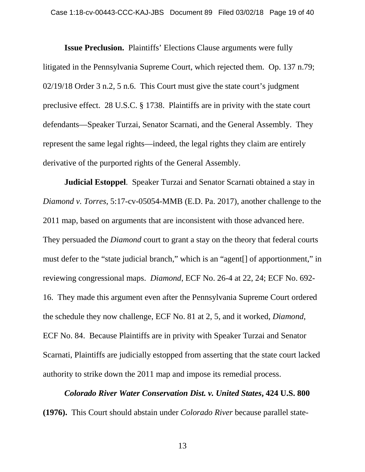**Issue Preclusion.** Plaintiffs' Elections Clause arguments were fully litigated in the Pennsylvania Supreme Court, which rejected them. Op. 137 n.79; 02/19/18 Order 3 n.2, 5 n.6. This Court must give the state court's judgment preclusive effect. 28 U.S.C. § 1738. Plaintiffs are in privity with the state court defendants—Speaker Turzai, Senator Scarnati, and the General Assembly. They represent the same legal rights—indeed, the legal rights they claim are entirely derivative of the purported rights of the General Assembly.

**Judicial Estoppel**. Speaker Turzai and Senator Scarnati obtained a stay in *Diamond v. Torres*, 5:17-cv-05054-MMB (E.D. Pa. 2017), another challenge to the 2011 map, based on arguments that are inconsistent with those advanced here. They persuaded the *Diamond* court to grant a stay on the theory that federal courts must defer to the "state judicial branch," which is an "agent[] of apportionment," in reviewing congressional maps. *Diamond*, ECF No. 26-4 at 22, 24; ECF No. 692- 16. They made this argument even after the Pennsylvania Supreme Court ordered the schedule they now challenge, ECF No. 81 at 2, 5, and it worked, *Diamond*, ECF No. 84. Because Plaintiffs are in privity with Speaker Turzai and Senator Scarnati, Plaintiffs are judicially estopped from asserting that the state court lacked authority to strike down the 2011 map and impose its remedial process.

*Colorado River Water Conservation Dist. v. United States***, 424 U.S. 800 (1976).** This Court should abstain under *Colorado River* because parallel state-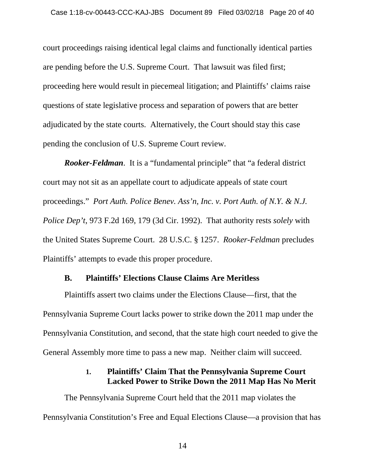court proceedings raising identical legal claims and functionally identical parties are pending before the U.S. Supreme Court. That lawsuit was filed first; proceeding here would result in piecemeal litigation; and Plaintiffs' claims raise questions of state legislative process and separation of powers that are better adjudicated by the state courts. Alternatively, the Court should stay this case pending the conclusion of U.S. Supreme Court review.

*Rooker-Feldman*. It is a "fundamental principle" that "a federal district court may not sit as an appellate court to adjudicate appeals of state court proceedings." *Port Auth. Police Benev. Ass'n, Inc. v. Port Auth. of N.Y. & N.J. Police Dep't*, 973 F.2d 169, 179 (3d Cir. 1992). That authority rests *solely* with the United States Supreme Court. 28 U.S.C. § 1257. *Rooker-Feldman* precludes Plaintiffs' attempts to evade this proper procedure.

## **B. Plaintiffs' Elections Clause Claims Are Meritless**

Plaintiffs assert two claims under the Elections Clause—first, that the Pennsylvania Supreme Court lacks power to strike down the 2011 map under the Pennsylvania Constitution, and second, that the state high court needed to give the General Assembly more time to pass a new map. Neither claim will succeed.

## **1. Plaintiffs' Claim That the Pennsylvania Supreme Court Lacked Power to Strike Down the 2011 Map Has No Merit**

The Pennsylvania Supreme Court held that the 2011 map violates the Pennsylvania Constitution's Free and Equal Elections Clause—a provision that has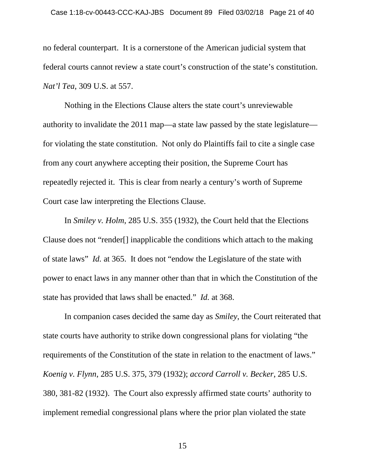no federal counterpart. It is a cornerstone of the American judicial system that federal courts cannot review a state court's construction of the state's constitution. *Nat'l Tea*, 309 U.S. at 557.

Nothing in the Elections Clause alters the state court's unreviewable authority to invalidate the 2011 map—a state law passed by the state legislature for violating the state constitution. Not only do Plaintiffs fail to cite a single case from any court anywhere accepting their position, the Supreme Court has repeatedly rejected it. This is clear from nearly a century's worth of Supreme Court case law interpreting the Elections Clause.

In *Smiley v. Holm*, 285 U.S. 355 (1932), the Court held that the Elections Clause does not "render[] inapplicable the conditions which attach to the making of state laws" *Id.* at 365. It does not "endow the Legislature of the state with power to enact laws in any manner other than that in which the Constitution of the state has provided that laws shall be enacted." *Id.* at 368.

In companion cases decided the same day as *Smiley*, the Court reiterated that state courts have authority to strike down congressional plans for violating "the requirements of the Constitution of the state in relation to the enactment of laws." *Koenig v. Flynn*, 285 U.S. 375, 379 (1932); *accord Carroll v. Becker*, 285 U.S. 380, 381-82 (1932). The Court also expressly affirmed state courts' authority to implement remedial congressional plans where the prior plan violated the state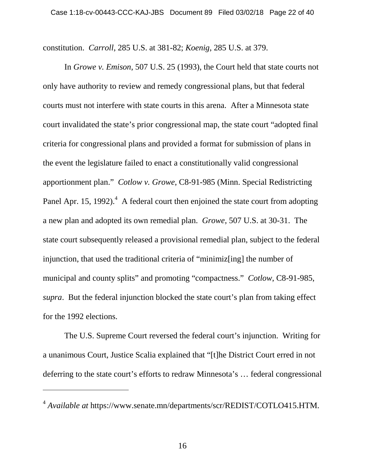constitution. *Carroll*, 285 U.S. at 381-82; *Koenig*, 285 U.S. at 379.

In *Growe v. Emison*, 507 U.S. 25 (1993), the Court held that state courts not only have authority to review and remedy congressional plans, but that federal courts must not interfere with state courts in this arena. After a Minnesota state court invalidated the state's prior congressional map, the state court "adopted final criteria for congressional plans and provided a format for submission of plans in the event the legislature failed to enact a constitutionally valid congressional apportionment plan." *Cotlow v. Growe*, C8-91-985 (Minn. Special Redistricting Panel Apr. 15, 1992). $^4$  A federal court then enjoined the state court from adopting a new plan and adopted its own remedial plan. *Growe*, 507 U.S. at 30-31. The state court subsequently released a provisional remedial plan, subject to the federal injunction, that used the traditional criteria of "minimiz[ing] the number of municipal and county splits" and promoting "compactness." *Cotlow*, C8-91-985, *supra*. But the federal injunction blocked the state court's plan from taking effect for the 1992 elections.

The U.S. Supreme Court reversed the federal court's injunction. Writing for a unanimous Court, Justice Scalia explained that "[t]he District Court erred in not deferring to the state court's efforts to redraw Minnesota's … federal congressional

<sup>4</sup> *Available at* https://www.senate.mn/departments/scr/REDIST/COTLO415.HTM.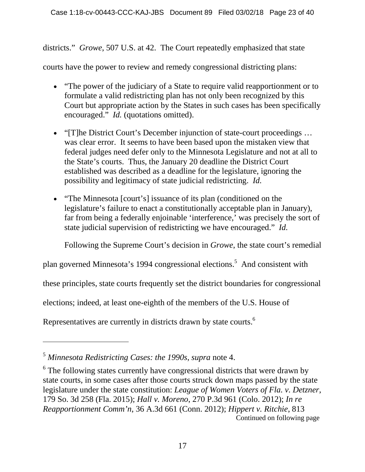districts." *Growe*, 507 U.S. at 42. The Court repeatedly emphasized that state

courts have the power to review and remedy congressional districting plans:

- "The power of the judiciary of a State to require valid reapportionment or to formulate a valid redistricting plan has not only been recognized by this Court but appropriate action by the States in such cases has been specifically encouraged." *Id.* (quotations omitted).
- "[T]he District Court's December injunction of state-court proceedings ... was clear error. It seems to have been based upon the mistaken view that federal judges need defer only to the Minnesota Legislature and not at all to the State's courts. Thus, the January 20 deadline the District Court established was described as a deadline for the legislature, ignoring the possibility and legitimacy of state judicial redistricting. *Id.*
- "The Minnesota [court's] issuance of its plan (conditioned on the legislature's failure to enact a constitutionally acceptable plan in January), far from being a federally enjoinable 'interference,' was precisely the sort of state judicial supervision of redistricting we have encouraged." *Id.*

Following the Supreme Court's decision in *Growe*, the state court's remedial

plan governed Minnesota's 1994 congressional elections.<sup>5</sup> And consistent with

these principles, state courts frequently set the district boundaries for congressional

elections; indeed, at least one-eighth of the members of the U.S. House of

Representatives are currently in districts drawn by state courts.<sup>6</sup>

<sup>5</sup> *Minnesota Redistricting Cases: the 1990s*, *supra* note 4.

<sup>&</sup>lt;sup>6</sup> The following states currently have congressional districts that were drawn by state courts, in some cases after those courts struck down maps passed by the state legislature under the state constitution: *League of Women Voters of Fla. v. Detzner*, 179 So. 3d 258 (Fla. 2015); *Hall v. Moreno*, 270 P.3d 961 (Colo. 2012); *In re Reapportionment Comm'n*, 36 A.3d 661 (Conn. 2012); *Hippert v. Ritchie*, 813 Continued on following page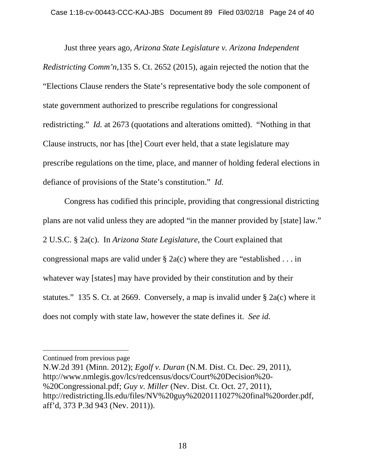Just three years ago, *Arizona State Legislature v. Arizona Independent Redistricting Comm'n*,135 S. Ct. 2652 (2015), again rejected the notion that the "Elections Clause renders the State's representative body the sole component of state government authorized to prescribe regulations for congressional redistricting." *Id.* at 2673 (quotations and alterations omitted). "Nothing in that Clause instructs, nor has [the] Court ever held, that a state legislature may prescribe regulations on the time, place, and manner of holding federal elections in defiance of provisions of the State's constitution." *Id.*

Congress has codified this principle, providing that congressional districting plans are not valid unless they are adopted "in the manner provided by [state] law." 2 U.S.C. § 2a(c). In *Arizona State Legislature*, the Court explained that congressional maps are valid under  $\S$  2a(c) where they are "established ... in whatever way [states] may have provided by their constitution and by their statutes." 135 S. Ct. at 2669. Conversely, a map is invalid under § 2a(c) where it does not comply with state law, however the state defines it. *See id.*

Continued from previous page

N.W.2d 391 (Minn. 2012); *Egolf v. Duran* (N.M. Dist. Ct. Dec. 29, 2011), http://www.nmlegis.gov/lcs/redcensus/docs/Court%20Decision%20- %20Congressional.pdf; *Guy v. Miller* (Nev. Dist. Ct. Oct. 27, 2011), http://redistricting.lls.edu/files/NV%20guy%2020111027%20final%20order.pdf, aff'd, 373 P.3d 943 (Nev. 2011)).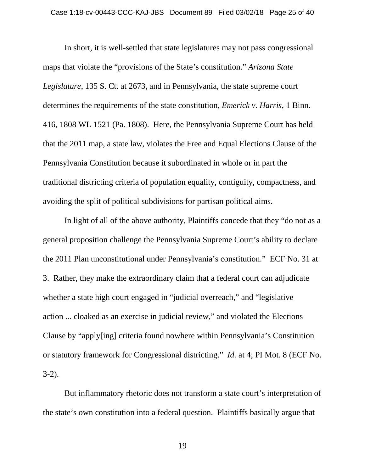In short, it is well-settled that state legislatures may not pass congressional maps that violate the "provisions of the State's constitution." *Arizona State Legislature*, 135 S. Ct. at 2673, and in Pennsylvania, the state supreme court determines the requirements of the state constitution, *Emerick v. Harris*, 1 Binn. 416, 1808 WL 1521 (Pa. 1808). Here, the Pennsylvania Supreme Court has held that the 2011 map, a state law, violates the Free and Equal Elections Clause of the Pennsylvania Constitution because it subordinated in whole or in part the traditional districting criteria of population equality, contiguity, compactness, and avoiding the split of political subdivisions for partisan political aims.

In light of all of the above authority, Plaintiffs concede that they "do not as a general proposition challenge the Pennsylvania Supreme Court's ability to declare the 2011 Plan unconstitutional under Pennsylvania's constitution." ECF No. 31 at 3. Rather, they make the extraordinary claim that a federal court can adjudicate whether a state high court engaged in "judicial overreach," and "legislative" action ... cloaked as an exercise in judicial review," and violated the Elections Clause by "apply[ing] criteria found nowhere within Pennsylvania's Constitution or statutory framework for Congressional districting." *Id.* at 4; PI Mot. 8 (ECF No. 3-2).

But inflammatory rhetoric does not transform a state court's interpretation of the state's own constitution into a federal question. Plaintiffs basically argue that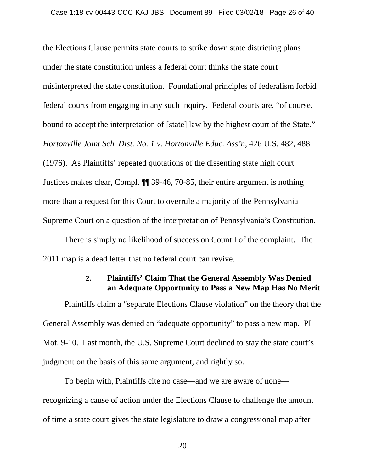the Elections Clause permits state courts to strike down state districting plans under the state constitution unless a federal court thinks the state court misinterpreted the state constitution. Foundational principles of federalism forbid federal courts from engaging in any such inquiry. Federal courts are, "of course, bound to accept the interpretation of [state] law by the highest court of the State." *Hortonville Joint Sch. Dist. No. 1 v. Hortonville Educ. Ass'n*, 426 U.S. 482, 488 (1976). As Plaintiffs' repeated quotations of the dissenting state high court Justices makes clear, Compl. ¶¶ 39-46, 70-85, their entire argument is nothing more than a request for this Court to overrule a majority of the Pennsylvania Supreme Court on a question of the interpretation of Pennsylvania's Constitution.

There is simply no likelihood of success on Count I of the complaint. The 2011 map is a dead letter that no federal court can revive.

## **2. Plaintiffs' Claim That the General Assembly Was Denied an Adequate Opportunity to Pass a New Map Has No Merit**

Plaintiffs claim a "separate Elections Clause violation" on the theory that the General Assembly was denied an "adequate opportunity" to pass a new map. PI Mot. 9-10. Last month, the U.S. Supreme Court declined to stay the state court's judgment on the basis of this same argument, and rightly so.

To begin with, Plaintiffs cite no case—and we are aware of none recognizing a cause of action under the Elections Clause to challenge the amount of time a state court gives the state legislature to draw a congressional map after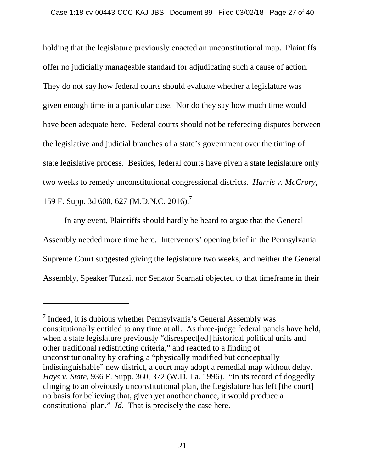holding that the legislature previously enacted an unconstitutional map. Plaintiffs offer no judicially manageable standard for adjudicating such a cause of action. They do not say how federal courts should evaluate whether a legislature was given enough time in a particular case. Nor do they say how much time would have been adequate here. Federal courts should not be refereeing disputes between the legislative and judicial branches of a state's government over the timing of state legislative process. Besides, federal courts have given a state legislature only two weeks to remedy unconstitutional congressional districts. *Harris v. McCrory*, 159 F. Supp. 3d 600, 627 (M.D.N.C. 2016).<sup>7</sup>

In any event, Plaintiffs should hardly be heard to argue that the General Assembly needed more time here. Intervenors' opening brief in the Pennsylvania Supreme Court suggested giving the legislature two weeks, and neither the General Assembly, Speaker Turzai, nor Senator Scarnati objected to that timeframe in their

 $<sup>7</sup>$  Indeed, it is dubious whether Pennsylvania's General Assembly was</sup> constitutionally entitled to any time at all. As three-judge federal panels have held, when a state legislature previously "disrespect[ed] historical political units and other traditional redistricting criteria," and reacted to a finding of unconstitutionality by crafting a "physically modified but conceptually indistinguishable" new district, a court may adopt a remedial map without delay. *Hays v. State*, 936 F. Supp. 360, 372 (W.D. La. 1996). "In its record of doggedly clinging to an obviously unconstitutional plan, the Legislature has left [the court] no basis for believing that, given yet another chance, it would produce a constitutional plan." *Id*. That is precisely the case here.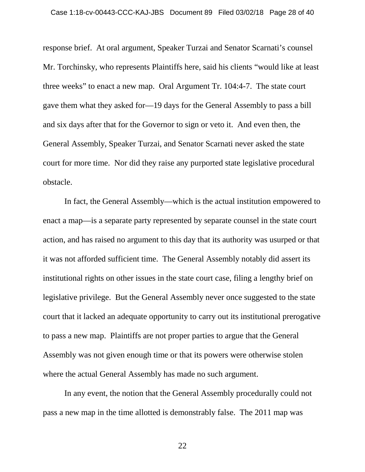response brief. At oral argument, Speaker Turzai and Senator Scarnati's counsel Mr. Torchinsky, who represents Plaintiffs here, said his clients "would like at least three weeks" to enact a new map. Oral Argument Tr. 104:4-7. The state court gave them what they asked for—19 days for the General Assembly to pass a bill and six days after that for the Governor to sign or veto it. And even then, the General Assembly, Speaker Turzai, and Senator Scarnati never asked the state court for more time. Nor did they raise any purported state legislative procedural obstacle.

In fact, the General Assembly—which is the actual institution empowered to enact a map—is a separate party represented by separate counsel in the state court action, and has raised no argument to this day that its authority was usurped or that it was not afforded sufficient time. The General Assembly notably did assert its institutional rights on other issues in the state court case, filing a lengthy brief on legislative privilege. But the General Assembly never once suggested to the state court that it lacked an adequate opportunity to carry out its institutional prerogative to pass a new map. Plaintiffs are not proper parties to argue that the General Assembly was not given enough time or that its powers were otherwise stolen where the actual General Assembly has made no such argument.

In any event, the notion that the General Assembly procedurally could not pass a new map in the time allotted is demonstrably false. The 2011 map was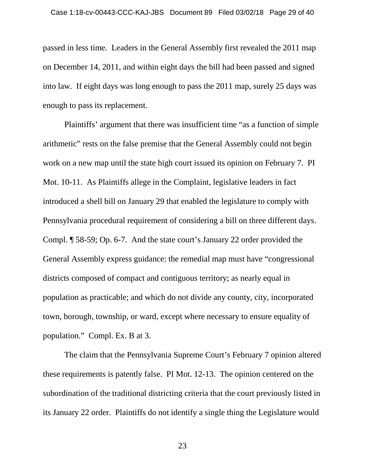passed in less time. Leaders in the General Assembly first revealed the 2011 map on December 14, 2011, and within eight days the bill had been passed and signed into law. If eight days was long enough to pass the 2011 map, surely 25 days was enough to pass its replacement.

Plaintiffs' argument that there was insufficient time "as a function of simple arithmetic" rests on the false premise that the General Assembly could not begin work on a new map until the state high court issued its opinion on February 7. PI Mot. 10-11. As Plaintiffs allege in the Complaint, legislative leaders in fact introduced a shell bill on January 29 that enabled the legislature to comply with Pennsylvania procedural requirement of considering a bill on three different days. Compl. ¶ 58-59; Op. 6-7. And the state court's January 22 order provided the General Assembly express guidance: the remedial map must have "congressional districts composed of compact and contiguous territory; as nearly equal in population as practicable; and which do not divide any county, city, incorporated town, borough, township, or ward, except where necessary to ensure equality of population." Compl. Ex. B at 3.

The claim that the Pennsylvania Supreme Court's February 7 opinion altered these requirements is patently false. PI Mot. 12-13. The opinion centered on the subordination of the traditional districting criteria that the court previously listed in its January 22 order. Plaintiffs do not identify a single thing the Legislature would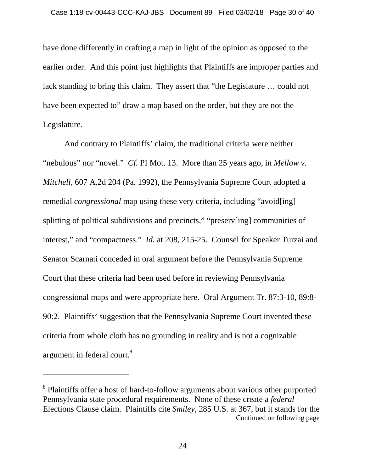have done differently in crafting a map in light of the opinion as opposed to the earlier order. And this point just highlights that Plaintiffs are improper parties and lack standing to bring this claim. They assert that "the Legislature … could not have been expected to" draw a map based on the order, but they are not the Legislature.

And contrary to Plaintiffs' claim, the traditional criteria were neither "nebulous" nor "novel." *Cf.* PI Mot. 13. More than 25 years ago, in *Mellow v. Mitchell*, 607 A.2d 204 (Pa. 1992), the Pennsylvania Supreme Court adopted a remedial *congressional* map using these very criteria, including "avoid[ing] splitting of political subdivisions and precincts," "preserv[ing] communities of interest," and "compactness." *Id.* at 208, 215-25. Counsel for Speaker Turzai and Senator Scarnati conceded in oral argument before the Pennsylvania Supreme Court that these criteria had been used before in reviewing Pennsylvania congressional maps and were appropriate here. Oral Argument Tr. 87:3-10, 89:8- 90:2. Plaintiffs' suggestion that the Pennsylvania Supreme Court invented these criteria from whole cloth has no grounding in reality and is not a cognizable argument in federal court.<sup>8</sup>

<sup>&</sup>lt;sup>8</sup> Plaintiffs offer a host of hard-to-follow arguments about various other purported Pennsylvania state procedural requirements. None of these create a *federal*  Elections Clause claim. Plaintiffs cite *Smiley*, 285 U.S. at 367, but it stands for the Continued on following page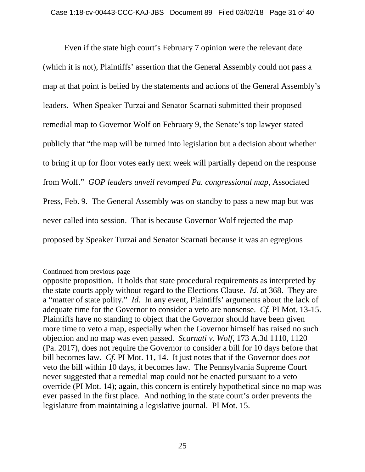Even if the state high court's February 7 opinion were the relevant date (which it is not), Plaintiffs' assertion that the General Assembly could not pass a map at that point is belied by the statements and actions of the General Assembly's leaders. When Speaker Turzai and Senator Scarnati submitted their proposed remedial map to Governor Wolf on February 9, the Senate's top lawyer stated publicly that "the map will be turned into legislation but a decision about whether to bring it up for floor votes early next week will partially depend on the response from Wolf." *GOP leaders unveil revamped Pa. congressional map*, Associated Press, Feb. 9. The General Assembly was on standby to pass a new map but was never called into session. That is because Governor Wolf rejected the map proposed by Speaker Turzai and Senator Scarnati because it was an egregious

Continued from previous page

opposite proposition. It holds that state procedural requirements as interpreted by the state courts apply without regard to the Elections Clause. *Id.* at 368. They are a "matter of state polity." *Id.* In any event, Plaintiffs' arguments about the lack of adequate time for the Governor to consider a veto are nonsense. *Cf.* PI Mot. 13-15. Plaintiffs have no standing to object that the Governor should have been given more time to veto a map, especially when the Governor himself has raised no such objection and no map was even passed. *Scarnati v. Wolf*, 173 A.3d 1110, 1120 (Pa. 2017), does not require the Governor to consider a bill for 10 days before that bill becomes law. *Cf*. PI Mot. 11, 14. It just notes that if the Governor does *not*  veto the bill within 10 days, it becomes law. The Pennsylvania Supreme Court never suggested that a remedial map could not be enacted pursuant to a veto override (PI Mot. 14); again, this concern is entirely hypothetical since no map was ever passed in the first place. And nothing in the state court's order prevents the legislature from maintaining a legislative journal. PI Mot. 15.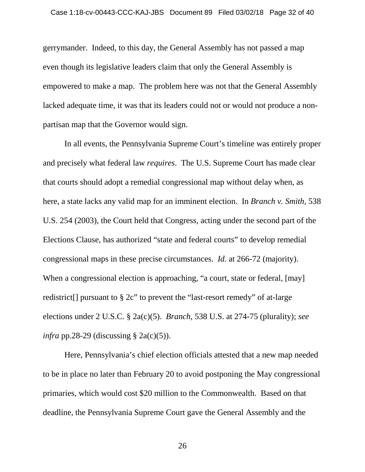gerrymander. Indeed, to this day, the General Assembly has not passed a map even though its legislative leaders claim that only the General Assembly is empowered to make a map. The problem here was not that the General Assembly lacked adequate time, it was that its leaders could not or would not produce a nonpartisan map that the Governor would sign.

In all events, the Pennsylvania Supreme Court's timeline was entirely proper and precisely what federal law *requires*. The U.S. Supreme Court has made clear that courts should adopt a remedial congressional map without delay when, as here, a state lacks any valid map for an imminent election. In *Branch v. Smith*, 538 U.S. 254 (2003), the Court held that Congress, acting under the second part of the Elections Clause, has authorized "state and federal courts" to develop remedial congressional maps in these precise circumstances. *Id.* at 266-72 (majority). When a congressional election is approaching, "a court, state or federal, [may] redistrict[] pursuant to § 2c" to prevent the "last-resort remedy" of at-large elections under 2 U.S.C. § 2a(c)(5). *Branch*, 538 U.S. at 274-75 (plurality); *see infra* pp.28-29 (discussing § 2a(c)(5)).

Here, Pennsylvania's chief election officials attested that a new map needed to be in place no later than February 20 to avoid postponing the May congressional primaries, which would cost \$20 million to the Commonwealth. Based on that deadline, the Pennsylvania Supreme Court gave the General Assembly and the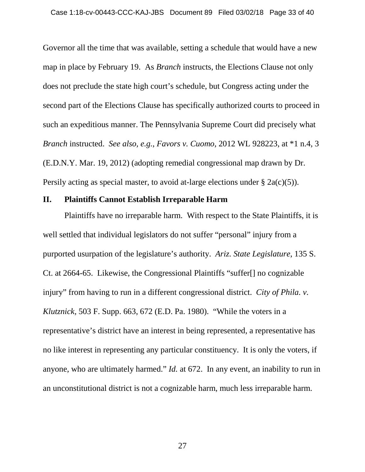Governor all the time that was available, setting a schedule that would have a new map in place by February 19. As *Branch* instructs, the Elections Clause not only does not preclude the state high court's schedule, but Congress acting under the second part of the Elections Clause has specifically authorized courts to proceed in such an expeditious manner. The Pennsylvania Supreme Court did precisely what *Branch* instructed. *See also, e.g.*, *Favors v. Cuomo*, 2012 WL 928223, at \*1 n.4, 3 (E.D.N.Y. Mar. 19, 2012) (adopting remedial congressional map drawn by Dr. Persily acting as special master, to avoid at-large elections under  $\S$  2a(c)(5)).

#### **II. Plaintiffs Cannot Establish Irreparable Harm**

Plaintiffs have no irreparable harm. With respect to the State Plaintiffs, it is well settled that individual legislators do not suffer "personal" injury from a purported usurpation of the legislature's authority. *Ariz. State Legislature*, 135 S. Ct. at 2664-65. Likewise, the Congressional Plaintiffs "suffer[] no cognizable injury" from having to run in a different congressional district. *City of Phila. v. Klutznick*, 503 F. Supp. 663, 672 (E.D. Pa. 1980). "While the voters in a representative's district have an interest in being represented, a representative has no like interest in representing any particular constituency. It is only the voters, if anyone, who are ultimately harmed." *Id.* at 672. In any event, an inability to run in an unconstitutional district is not a cognizable harm, much less irreparable harm.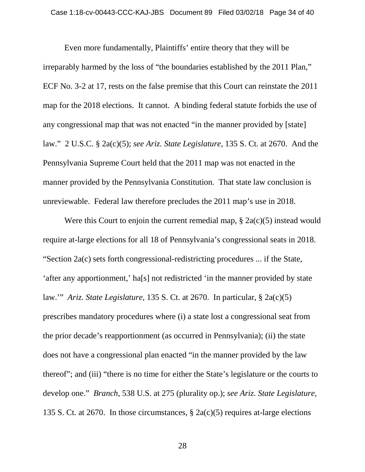Even more fundamentally, Plaintiffs' entire theory that they will be irreparably harmed by the loss of "the boundaries established by the 2011 Plan," ECF No. 3-2 at 17, rests on the false premise that this Court can reinstate the 2011 map for the 2018 elections. It cannot. A binding federal statute forbids the use of any congressional map that was not enacted "in the manner provided by [state] law." 2 U.S.C. § 2a(c)(5); *see Ariz. State Legislature*, 135 S. Ct. at 2670. And the Pennsylvania Supreme Court held that the 2011 map was not enacted in the manner provided by the Pennsylvania Constitution. That state law conclusion is unreviewable. Federal law therefore precludes the 2011 map's use in 2018.

Were this Court to enjoin the current remedial map,  $\S$  2a(c)(5) instead would require at-large elections for all 18 of Pennsylvania's congressional seats in 2018. "Section 2a(c) sets forth congressional-redistricting procedures ... if the State, 'after any apportionment,' ha[s] not redistricted 'in the manner provided by state law.'" *Ariz. State Legislature*, 135 S. Ct. at 2670. In particular, § 2a(c)(5) prescribes mandatory procedures where (i) a state lost a congressional seat from the prior decade's reapportionment (as occurred in Pennsylvania); (ii) the state does not have a congressional plan enacted "in the manner provided by the law thereof"; and (iii) "there is no time for either the State's legislature or the courts to develop one." *Branch*, 538 U.S. at 275 (plurality op.); *see Ariz. State Legislature*, 135 S. Ct. at 2670. In those circumstances, § 2a(c)(5) requires at-large elections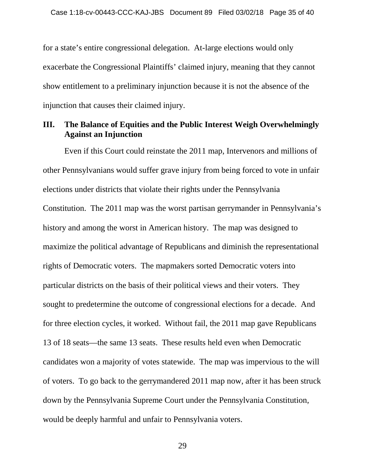for a state's entire congressional delegation. At-large elections would only exacerbate the Congressional Plaintiffs' claimed injury, meaning that they cannot show entitlement to a preliminary injunction because it is not the absence of the injunction that causes their claimed injury.

## **III. The Balance of Equities and the Public Interest Weigh Overwhelmingly Against an Injunction**

Even if this Court could reinstate the 2011 map, Intervenors and millions of other Pennsylvanians would suffer grave injury from being forced to vote in unfair elections under districts that violate their rights under the Pennsylvania Constitution. The 2011 map was the worst partisan gerrymander in Pennsylvania's history and among the worst in American history. The map was designed to maximize the political advantage of Republicans and diminish the representational rights of Democratic voters. The mapmakers sorted Democratic voters into particular districts on the basis of their political views and their voters. They sought to predetermine the outcome of congressional elections for a decade. And for three election cycles, it worked. Without fail, the 2011 map gave Republicans 13 of 18 seats—the same 13 seats. These results held even when Democratic candidates won a majority of votes statewide. The map was impervious to the will of voters. To go back to the gerrymandered 2011 map now, after it has been struck down by the Pennsylvania Supreme Court under the Pennsylvania Constitution, would be deeply harmful and unfair to Pennsylvania voters.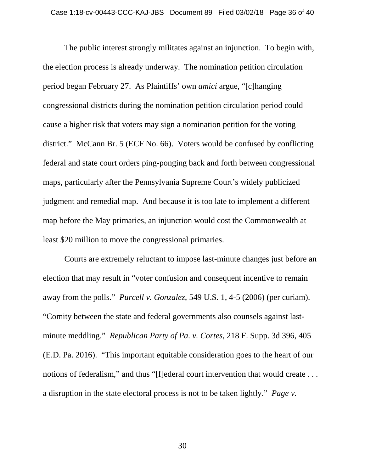The public interest strongly militates against an injunction. To begin with, the election process is already underway. The nomination petition circulation period began February 27. As Plaintiffs' own *amici* argue, "[c]hanging congressional districts during the nomination petition circulation period could cause a higher risk that voters may sign a nomination petition for the voting district." McCann Br. 5 (ECF No. 66). Voters would be confused by conflicting federal and state court orders ping-ponging back and forth between congressional maps, particularly after the Pennsylvania Supreme Court's widely publicized judgment and remedial map. And because it is too late to implement a different map before the May primaries, an injunction would cost the Commonwealth at least \$20 million to move the congressional primaries.

Courts are extremely reluctant to impose last-minute changes just before an election that may result in "voter confusion and consequent incentive to remain away from the polls." *Purcell v. Gonzalez*, 549 U.S. 1, 4-5 (2006) (per curiam). "Comity between the state and federal governments also counsels against lastminute meddling." *Republican Party of Pa. v. Cortes*, 218 F. Supp. 3d 396, 405 (E.D. Pa. 2016). "This important equitable consideration goes to the heart of our notions of federalism," and thus "[f]ederal court intervention that would create . . . a disruption in the state electoral process is not to be taken lightly." *Page v.*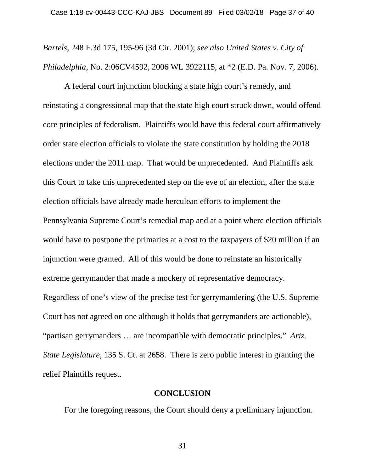*Bartels*, 248 F.3d 175, 195-96 (3d Cir. 2001); *see also United States v. City of Philadelphia*, No. 2:06CV4592, 2006 WL 3922115, at \*2 (E.D. Pa. Nov. 7, 2006).

A federal court injunction blocking a state high court's remedy, and reinstating a congressional map that the state high court struck down, would offend core principles of federalism. Plaintiffs would have this federal court affirmatively order state election officials to violate the state constitution by holding the 2018 elections under the 2011 map. That would be unprecedented. And Plaintiffs ask this Court to take this unprecedented step on the eve of an election, after the state election officials have already made herculean efforts to implement the Pennsylvania Supreme Court's remedial map and at a point where election officials would have to postpone the primaries at a cost to the taxpayers of \$20 million if an injunction were granted. All of this would be done to reinstate an historically extreme gerrymander that made a mockery of representative democracy. Regardless of one's view of the precise test for gerrymandering (the U.S. Supreme Court has not agreed on one although it holds that gerrymanders are actionable), "partisan gerrymanders … are incompatible with democratic principles." *Ariz. State Legislature*, 135 S. Ct. at 2658. There is zero public interest in granting the relief Plaintiffs request.

### **CONCLUSION**

For the foregoing reasons, the Court should deny a preliminary injunction.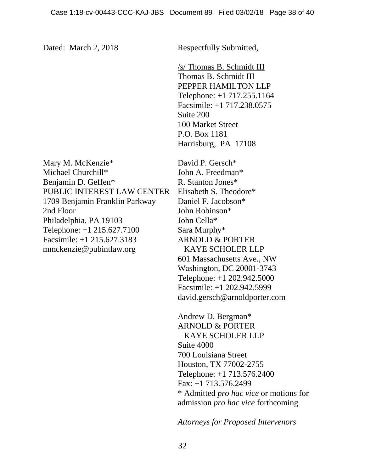Dated: March 2, 2018 Respectfully Submitted,

/s/ Thomas B. Schmidt III Thomas B. Schmidt III PEPPER HAMILTON LLP Telephone: +1 717.255.1164 Facsimile: +1 717.238.0575 Suite 200 100 Market Street P.O. Box 1181 Harrisburg, PA 17108

Mary M. McKenzie\* Michael Churchill\* Benjamin D. Geffen\* PUBLIC INTEREST LAW CENTER 1709 Benjamin Franklin Parkway 2nd Floor Philadelphia, PA 19103 Telephone: +1 215.627.7100 Facsimile: +1 215.627.3183 mmckenzie@pubintlaw.org

David P. Gersch\* John A. Freedman\* R. Stanton Jones\* Elisabeth S. Theodore\* Daniel F. Jacobson\* John Robinson\* John Cella\* Sara Murphy\* ARNOLD & PORTER KAYE SCHOLER LLP 601 Massachusetts Ave., NW Washington, DC 20001-3743 Telephone: +1 202.942.5000 Facsimile: +1 202.942.5999 david.gersch@arnoldporter.com

Andrew D. Bergman\* ARNOLD & PORTER KAYE SCHOLER LLP Suite 4000 700 Louisiana Street Houston, TX 77002-2755 Telephone: +1 713.576.2400 Fax: +1 713.576.2499 \* Admitted *pro hac vice* or motions for admission *pro hac vice* forthcoming

*Attorneys for Proposed Intervenors*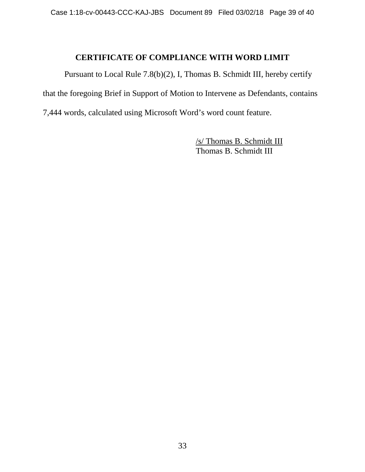## **CERTIFICATE OF COMPLIANCE WITH WORD LIMIT**

Pursuant to Local Rule 7.8(b)(2), I, Thomas B. Schmidt III, hereby certify that the foregoing Brief in Support of Motion to Intervene as Defendants, contains 7,444 words, calculated using Microsoft Word's word count feature.

> /s/ Thomas B. Schmidt III Thomas B. Schmidt III